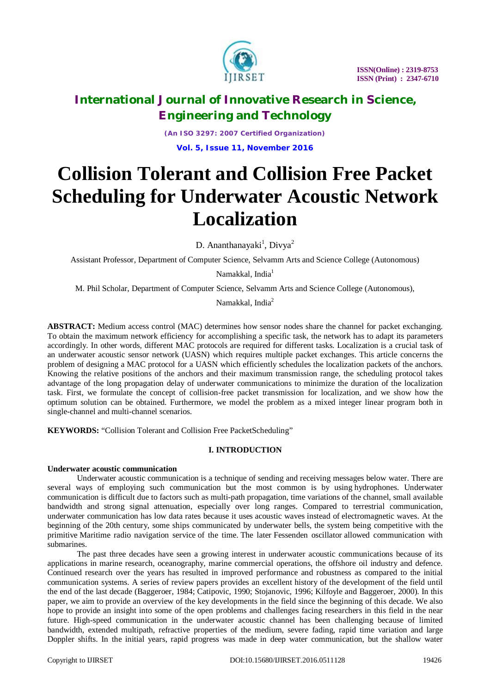

*(An ISO 3297: 2007 Certified Organization)* **Vol. 5, Issue 11, November 2016**

# **Collision Tolerant and Collision Free Packet Scheduling for Underwater Acoustic Network Localization**

D. Ananthanayaki<sup>1</sup>, Divya<sup>2</sup>

Assistant Professor, Department of Computer Science, Selvamm Arts and Science College (Autonomous)

Namakkal, India<sup>1</sup>

M. Phil Scholar, Department of Computer Science, Selvamm Arts and Science College (Autonomous),

Namakkal, India<sup>2</sup>

**ABSTRACT:** Medium access control (MAC) determines how sensor nodes share the channel for packet exchanging. To obtain the maximum network efficiency for accomplishing a specific task, the network has to adapt its parameters accordingly. In other words, different MAC protocols are required for different tasks. Localization is a crucial task of an underwater acoustic sensor network (UASN) which requires multiple packet exchanges. This article concerns the problem of designing a MAC protocol for a UASN which efficiently schedules the localization packets of the anchors. Knowing the relative positions of the anchors and their maximum transmission range, the scheduling protocol takes advantage of the long propagation delay of underwater communications to minimize the duration of the localization task. First, we formulate the concept of collision-free packet transmission for localization, and we show how the optimum solution can be obtained. Furthermore, we model the problem as a mixed integer linear program both in single-channel and multi-channel scenarios.

**KEYWORDS:** "Collision Tolerant and Collision Free PacketScheduling"

## **I. INTRODUCTION**

### **Underwater acoustic communication**

Underwater acoustic communication is a technique of sending and receiving messages below water. There are several ways of employing such communication but the most common is by using hydrophones. Underwater communication is difficult due to factors such as multi-path propagation, time variations of the channel, small available bandwidth and strong signal attenuation, especially over long ranges. Compared to terrestrial communication, underwater communication has low data rates because it uses acoustic waves instead of electromagnetic waves. At the beginning of the 20th century, some ships communicated by underwater bells, the system being competitive with the primitive Maritime radio navigation service of the time. The later Fessenden oscillator allowed communication with submarines.

The past three decades have seen a growing interest in underwater acoustic communications because of its applications in marine research, oceanography, marine commercial operations, the offshore oil industry and defence. Continued research over the years has resulted in improved performance and robustness as compared to the initial communication systems. A series of review papers provides an excellent history of the development of the field until the end of the last decade (Baggeroer, 1984; Catipovic, 1990; Stojanovic, 1996; Kilfoyle and Baggeroer, 2000). In this paper, we aim to provide an overview of the key developments in the field since the beginning of this decade. We also hope to provide an insight into some of the open problems and challenges facing researchers in this field in the near future. High-speed communication in the underwater acoustic channel has been challenging because of limited bandwidth, extended multipath, refractive properties of the medium, severe fading, rapid time variation and large Doppler shifts. In the initial years, rapid progress was made in deep water communication, but the shallow water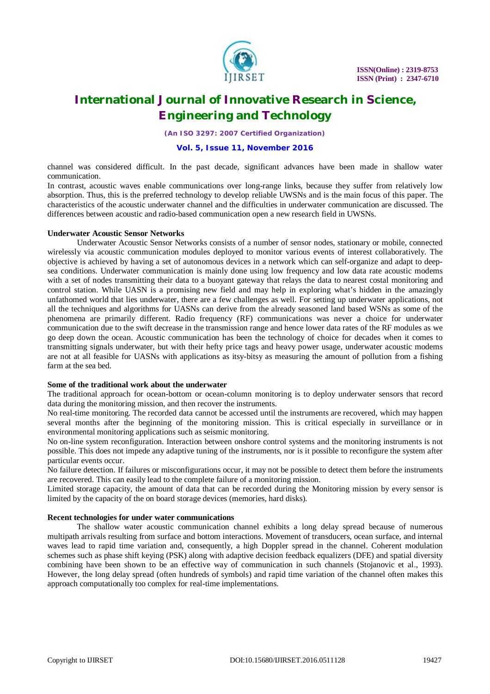

*(An ISO 3297: 2007 Certified Organization)*

### **Vol. 5, Issue 11, November 2016**

channel was considered difficult. In the past decade, significant advances have been made in shallow water communication.

In contrast, acoustic waves enable communications over long-range links, because they suffer from relatively low absorption. Thus, this is the preferred technology to develop reliable UWSNs and is the main focus of this paper. The characteristics of the acoustic underwater channel and the difficulties in underwater communication are discussed. The differences between acoustic and radio-based communication open a new research field in UWSNs.

### **Underwater Acoustic Sensor Networks**

Underwater Acoustic Sensor Networks consists of a number of sensor nodes, stationary or mobile, connected wirelessly via acoustic communication modules deployed to monitor various events of interest collaboratively. The objective is achieved by having a set of autonomous devices in a network which can self-organize and adapt to deepsea conditions. Underwater communication is mainly done using low frequency and low data rate acoustic modems with a set of nodes transmitting their data to a buoyant gateway that relays the data to nearest costal monitoring and control station. While UASN is a promising new field and may help in exploring what's hidden in the amazingly unfathomed world that lies underwater, there are a few challenges as well. For setting up underwater applications, not all the techniques and algorithms for UASNs can derive from the already seasoned land based WSNs as some of the phenomena are primarily different. Radio frequency (RF) communications was never a choice for underwater communication due to the swift decrease in the transmission range and hence lower data rates of the RF modules as we go deep down the ocean. Acoustic communication has been the technology of choice for decades when it comes to transmitting signals underwater, but with their hefty price tags and heavy power usage, underwater acoustic modems are not at all feasible for UASNs with applications as itsy-bitsy as measuring the amount of pollution from a fishing farm at the sea bed.

#### **Some of the traditional work about the underwater**

The traditional approach for ocean-bottom or ocean-column monitoring is to deploy underwater sensors that record data during the monitoring mission, and then recover the instruments.

No real-time monitoring. The recorded data cannot be accessed until the instruments are recovered, which may happen several months after the beginning of the monitoring mission. This is critical especially in surveillance or in environmental monitoring applications such as seismic monitoring.

No on-line system reconfiguration. Interaction between onshore control systems and the monitoring instruments is not possible. This does not impede any adaptive tuning of the instruments, nor is it possible to reconfigure the system after particular events occur.

No failure detection. If failures or misconfigurations occur, it may not be possible to detect them before the instruments are recovered. This can easily lead to the complete failure of a monitoring mission.

Limited storage capacity, the amount of data that can be recorded during the Monitoring mission by every sensor is limited by the capacity of the on board storage devices (memories, hard disks).

### **Recent technologies for under water communications**

The shallow water acoustic communication channel exhibits a long delay spread because of numerous multipath arrivals resulting from surface and bottom interactions. Movement of transducers, ocean surface, and internal waves lead to rapid time variation and, consequently, a high Doppler spread in the channel. Coherent modulation schemes such as phase shift keying (PSK) along with adaptive decision feedback equalizers (DFE) and spatial diversity combining have been shown to be an effective way of communication in such channels (Stojanovic et al., 1993). However, the long delay spread (often hundreds of symbols) and rapid time variation of the channel often makes this approach computationally too complex for real-time implementations.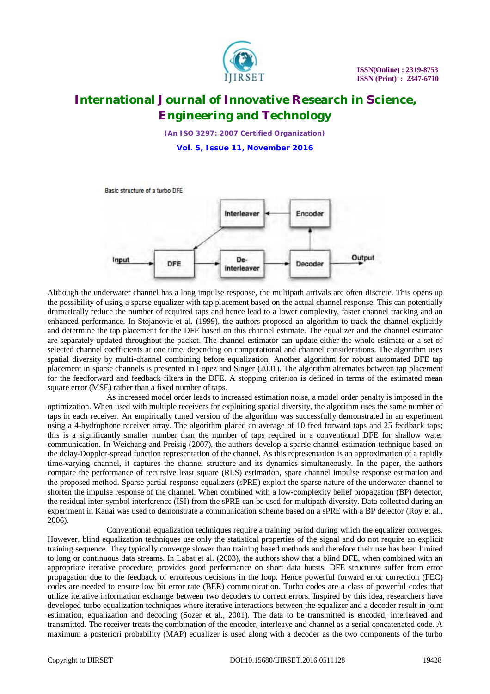

*(An ISO 3297: 2007 Certified Organization)*

**Vol. 5, Issue 11, November 2016**



Although the underwater channel has a long impulse response, the multipath arrivals are often discrete. This opens up the possibility of using a sparse equalizer with tap placement based on the actual channel response. This can potentially dramatically reduce the number of required taps and hence lead to a lower complexity, faster channel tracking and an enhanced performance. In Stojanovic et al. (1999), the authors proposed an algorithm to track the channel explicitly and determine the tap placement for the DFE based on this channel estimate. The equalizer and the channel estimator are separately updated throughout the packet. The channel estimator can update either the whole estimate or a set of selected channel coefficients at one time, depending on computational and channel considerations. The algorithm uses spatial diversity by multi-channel combining before equalization. Another algorithm for robust automated DFE tap placement in sparse channels is presented in Lopez and Singer (2001). The algorithm alternates between tap placement for the feedforward and feedback filters in the DFE. A stopping criterion is defined in terms of the estimated mean square error (MSE) rather than a fixed number of taps.

As increased model order leads to increased estimation noise, a model order penalty is imposed in the optimization. When used with multiple receivers for exploiting spatial diversity, the algorithm uses the same number of taps in each receiver. An empirically tuned version of the algorithm was successfully demonstrated in an experiment using a 4-hydrophone receiver array. The algorithm placed an average of 10 feed forward taps and 25 feedback taps; this is a significantly smaller number than the number of taps required in a conventional DFE for shallow water communication. In Weichang and Preisig (2007), the authors develop a sparse channel estimation technique based on the delay-Doppler-spread function representation of the channel. As this representation is an approximation of a rapidly time-varying channel, it captures the channel structure and its dynamics simultaneously. In the paper, the authors compare the performance of recursive least square (RLS) estimation, spare channel impulse response estimation and the proposed method. Sparse partial response equalizers (sPRE) exploit the sparse nature of the underwater channel to shorten the impulse response of the channel. When combined with a low-complexity belief propagation (BP) detector, the residual inter-symbol interference (ISI) from the sPRE can be used for multipath diversity. Data collected during an experiment in Kauai was used to demonstrate a communication scheme based on a sPRE with a BP detector (Roy et al., 2006).

Conventional equalization techniques require a training period during which the equalizer converges. However, blind equalization techniques use only the statistical properties of the signal and do not require an explicit training sequence. They typically converge slower than training based methods and therefore their use has been limited to long or continuous data streams. In Labat et al. (2003), the authors show that a blind DFE, when combined with an appropriate iterative procedure, provides good performance on short data bursts. DFE structures suffer from error propagation due to the feedback of erroneous decisions in the loop. Hence powerful forward error correction (FEC) codes are needed to ensure low bit error rate (BER) communication. Turbo codes are a class of powerful codes that utilize iterative information exchange between two decoders to correct errors. Inspired by this idea, researchers have developed turbo equalization techniques where iterative interactions between the equalizer and a decoder result in joint estimation, equalization and decoding (Sozer et al., 2001). The data to be transmitted is encoded, interleaved and transmitted. The receiver treats the combination of the encoder, interleave and channel as a serial concatenated code. A maximum a posteriori probability (MAP) equalizer is used along with a decoder as the two components of the turbo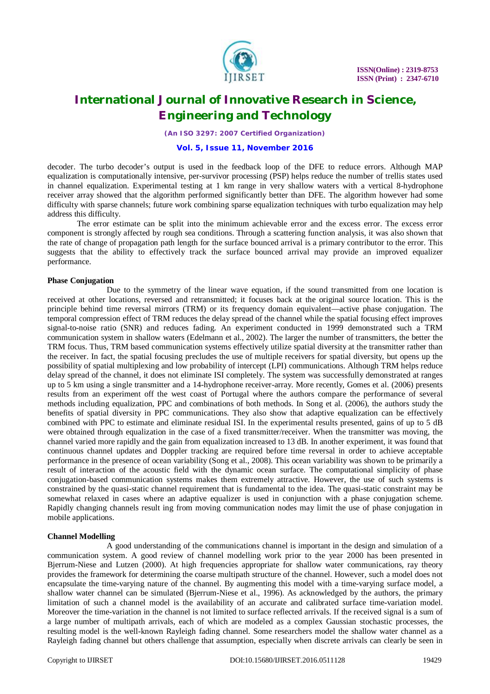

*(An ISO 3297: 2007 Certified Organization)*

### **Vol. 5, Issue 11, November 2016**

decoder. The turbo decoder's output is used in the feedback loop of the DFE to reduce errors. Although MAP equalization is computationally intensive, per-survivor processing (PSP) helps reduce the number of trellis states used in channel equalization. Experimental testing at 1 km range in very shallow waters with a vertical 8-hydrophone receiver array showed that the algorithm performed significantly better than DFE. The algorithm however had some difficulty with sparse channels; future work combining sparse equalization techniques with turbo equalization may help address this difficulty.

The error estimate can be split into the minimum achievable error and the excess error. The excess error component is strongly affected by rough sea conditions. Through a scattering function analysis, it was also shown that the rate of change of propagation path length for the surface bounced arrival is a primary contributor to the error. This suggests that the ability to effectively track the surface bounced arrival may provide an improved equalizer performance.

### **Phase Conjugation**

Due to the symmetry of the linear wave equation, if the sound transmitted from one location is received at other locations, reversed and retransmitted; it focuses back at the original source location. This is the principle behind time reversal mirrors (TRM) or its frequency domain equivalent—active phase conjugation. The temporal compression effect of TRM reduces the delay spread of the channel while the spatial focusing effect improves signal-to-noise ratio (SNR) and reduces fading. An experiment conducted in 1999 demonstrated such a TRM communication system in shallow waters (Edelmann et al., 2002). The larger the number of transmitters, the better the TRM focus. Thus, TRM based communication systems effectively utilize spatial diversity at the transmitter rather than the receiver. In fact, the spatial focusing precludes the use of multiple receivers for spatial diversity, but opens up the possibility of spatial multiplexing and low probability of intercept (LPI) communications. Although TRM helps reduce delay spread of the channel, it does not eliminate ISI completely. The system was successfully demonstrated at ranges up to 5 km using a single transmitter and a 14-hydrophone receiver-array. More recently, Gomes et al. (2006) presents results from an experiment off the west coast of Portugal where the authors compare the performance of several methods including equalization, PPC and combinations of both methods. In Song et al. (2006), the authors study the benefits of spatial diversity in PPC communications. They also show that adaptive equalization can be effectively combined with PPC to estimate and eliminate residual ISI. In the experimental results presented, gains of up to 5 dB were obtained through equalization in the case of a fixed transmitter/receiver. When the transmitter was moving, the channel varied more rapidly and the gain from equalization increased to 13 dB. In another experiment, it was found that continuous channel updates and Doppler tracking are required before time reversal in order to achieve acceptable performance in the presence of ocean variability (Song et al., 2008). This ocean variability was shown to be primarily a result of interaction of the acoustic field with the dynamic ocean surface. The computational simplicity of phase conjugation-based communication systems makes them extremely attractive. However, the use of such systems is constrained by the quasi-static channel requirement that is fundamental to the idea. The quasi-static constraint may be somewhat relaxed in cases where an adaptive equalizer is used in conjunction with a phase conjugation scheme. Rapidly changing channels result ing from moving communication nodes may limit the use of phase conjugation in mobile applications.

### **Channel Modelling**

A good understanding of the communications channel is important in the design and simulation of a communication system. A good review of channel modelling work prior to the year 2000 has been presented in Bjerrum-Niese and Lutzen (2000). At high frequencies appropriate for shallow water communications, ray theory provides the framework for determining the coarse multipath structure of the channel. However, such a model does not encapsulate the time-varying nature of the channel. By augmenting this model with a time-varying surface model, a shallow water channel can be simulated (Bjerrum-Niese et al., 1996). As acknowledged by the authors, the primary limitation of such a channel model is the availability of an accurate and calibrated surface time-variation model. Moreover the time-variation in the channel is not limited to surface reflected arrivals. If the received signal is a sum of a large number of multipath arrivals, each of which are modeled as a complex Gaussian stochastic processes, the resulting model is the well-known Rayleigh fading channel. Some researchers model the shallow water channel as a Rayleigh fading channel but others challenge that assumption, especially when discrete arrivals can clearly be seen in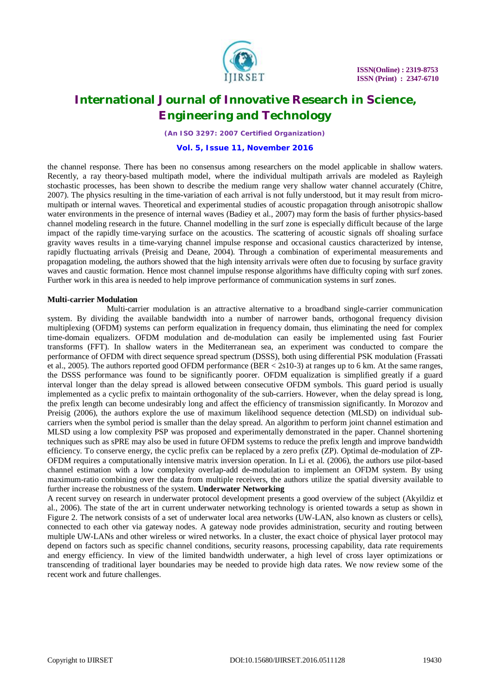

*(An ISO 3297: 2007 Certified Organization)*

### **Vol. 5, Issue 11, November 2016**

the channel response. There has been no consensus among researchers on the model applicable in shallow waters. Recently, a ray theory-based multipath model, where the individual multipath arrivals are modeled as Rayleigh stochastic processes, has been shown to describe the medium range very shallow water channel accurately (Chitre, 2007). The physics resulting in the time-variation of each arrival is not fully understood, but it may result from micromultipath or internal waves. Theoretical and experimental studies of acoustic propagation through anisotropic shallow water environments in the presence of internal waves (Badiey et al., 2007) may form the basis of further physics-based channel modeling research in the future. Channel modelling in the surf zone is especially difficult because of the large impact of the rapidly time-varying surface on the acoustics. The scattering of acoustic signals off shoaling surface gravity waves results in a time-varying channel impulse response and occasional caustics characterized by intense, rapidly fluctuating arrivals (Preisig and Deane, 2004). Through a combination of experimental measurements and propagation modeling, the authors showed that the high intensity arrivals were often due to focusing by surface gravity waves and caustic formation. Hence most channel impulse response algorithms have difficulty coping with surf zones. Further work in this area is needed to help improve performance of communication systems in surf zones.

#### **Multi-carrier Modulation**

Multi-carrier modulation is an attractive alternative to a broadband single-carrier communication system. By dividing the available bandwidth into a number of narrower bands, orthogonal frequency division multiplexing (OFDM) systems can perform equalization in frequency domain, thus eliminating the need for complex time-domain equalizers. OFDM modulation and de-modulation can easily be implemented using fast Fourier transforms (FFT). In shallow waters in the Mediterranean sea, an experiment was conducted to compare the performance of OFDM with direct sequence spread spectrum (DSSS), both using differential PSK modulation (Frassati et al., 2005). The authors reported good OFDM performance (BER < 2s10-3) at ranges up to 6 km. At the same ranges, the DSSS performance was found to be significantly poorer. OFDM equalization is simplified greatly if a guard interval longer than the delay spread is allowed between consecutive OFDM symbols. This guard period is usually implemented as a cyclic prefix to maintain orthogonality of the sub-carriers. However, when the delay spread is long, the prefix length can become undesirably long and affect the efficiency of transmission significantly. In Morozov and Preisig (2006), the authors explore the use of maximum likelihood sequence detection (MLSD) on individual subcarriers when the symbol period is smaller than the delay spread. An algorithm to perform joint channel estimation and MLSD using a low complexity PSP was proposed and experimentally demonstrated in the paper. Channel shortening techniques such as sPRE may also be used in future OFDM systems to reduce the prefix length and improve bandwidth efficiency. To conserve energy, the cyclic prefix can be replaced by a zero prefix (ZP). Optimal de-modulation of ZP-OFDM requires a computationally intensive matrix inversion operation. In Li et al. (2006), the authors use pilot-based channel estimation with a low complexity overlap-add de-modulation to implement an OFDM system. By using maximum-ratio combining over the data from multiple receivers, the authors utilize the spatial diversity available to further increase the robustness of the system. **Underwater Networking**

A recent survey on research in underwater protocol development presents a good overview of the subject (Akyildiz et al., 2006). The state of the art in current underwater networking technology is oriented towards a setup as shown in Figure 2. The network consists of a set of underwater local area networks (UW-LAN, also known as clusters or cells), connected to each other via gateway nodes. A gateway node provides administration, security and routing between multiple UW-LANs and other wireless or wired networks. In a cluster, the exact choice of physical layer protocol may depend on factors such as specific channel conditions, security reasons, processing capability, data rate requirements and energy efficiency. In view of the limited bandwidth underwater, a high level of cross layer optimizations or transcending of traditional layer boundaries may be needed to provide high data rates. We now review some of the recent work and future challenges.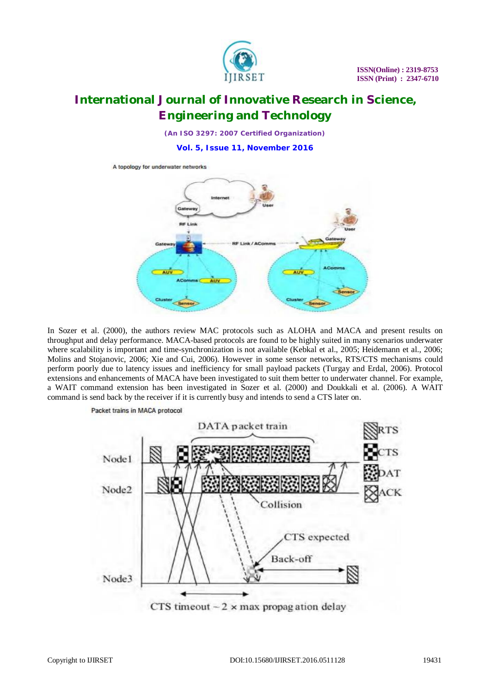

*(An ISO 3297: 2007 Certified Organization)*

**Vol. 5, Issue 11, November 2016**



In Sozer et al. (2000), the authors review MAC protocols such as ALOHA and MACA and present results on throughput and delay performance. MACA-based protocols are found to be highly suited in many scenarios underwater where scalability is important and time-synchronization is not available (Kebkal et al., 2005; Heidemann et al., 2006; Molins and Stojanovic, 2006; Xie and Cui, 2006). However in some sensor networks, RTS/CTS mechanisms could perform poorly due to latency issues and inefficiency for small payload packets (Turgay and Erdal, 2006). Protocol extensions and enhancements of MACA have been investigated to suit them better to underwater channel. For example, a WAIT command extension has been investigated in Sozer et al. (2000) and Doukkali et al. (2006). A WAIT command is send back by the receiver if it is currently busy and intends to send a CTS later on.

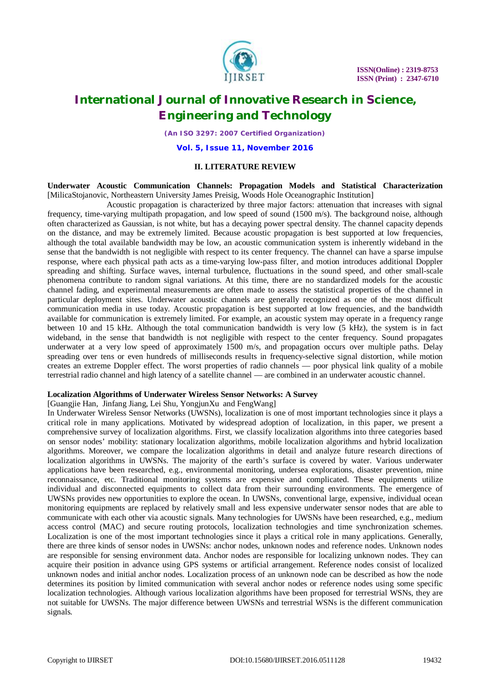

*(An ISO 3297: 2007 Certified Organization)*

**Vol. 5, Issue 11, November 2016**

#### **II. LITERATURE REVIEW**

**Underwater Acoustic Communication Channels: Propagation Models and Statistical Characterization**  [MilicaStojanovic, Northeastern University James Preisig, Woods Hole Oceanographic Institution]

Acoustic propagation is characterized by three major factors: attenuation that increases with signal frequency, time-varying multipath propagation, and low speed of sound (1500 m/s). The background noise, although often characterized as Gaussian, is not white, but has a decaying power spectral density. The channel capacity depends on the distance, and may be extremely limited. Because acoustic propagation is best supported at low frequencies, although the total available bandwidth may be low, an acoustic communication system is inherently wideband in the sense that the bandwidth is not negligible with respect to its center frequency. The channel can have a sparse impulse response, where each physical path acts as a time-varying low-pass filter, and motion introduces additional Doppler spreading and shifting. Surface waves, internal turbulence, fluctuations in the sound speed, and other small-scale phenomena contribute to random signal variations. At this time, there are no standardized models for the acoustic channel fading, and experimental measurements are often made to assess the statistical properties of the channel in particular deployment sites. Underwater acoustic channels are generally recognized as one of the most difficult communication media in use today. Acoustic propagation is best supported at low frequencies, and the bandwidth available for communication is extremely limited. For example, an acoustic system may operate in a frequency range between 10 and 15 kHz. Although the total communication bandwidth is very low (5 kHz), the system is in fact wideband, in the sense that bandwidth is not negligible with respect to the center frequency. Sound propagates underwater at a very low speed of approximately 1500 m/s, and propagation occurs over multiple paths. Delay spreading over tens or even hundreds of milliseconds results in frequency-selective signal distortion, while motion creates an extreme Doppler effect. The worst properties of radio channels — poor physical link quality of a mobile terrestrial radio channel and high latency of a satellite channel — are combined in an underwater acoustic channel.

#### **Localization Algorithms of Underwater Wireless Sensor Networks: A Survey**

### [Guangjie Han, Jinfang Jiang, Lei Shu, YongjunXu and FengWang]

In Underwater Wireless Sensor Networks (UWSNs), localization is one of most important technologies since it plays a critical role in many applications. Motivated by widespread adoption of localization, in this paper, we present a comprehensive survey of localization algorithms. First, we classify localization algorithms into three categories based on sensor nodes' mobility: stationary localization algorithms, mobile localization algorithms and hybrid localization algorithms. Moreover, we compare the localization algorithms in detail and analyze future research directions of localization algorithms in UWSNs. The majority of the earth's surface is covered by water. Various underwater applications have been researched, e.g., environmental monitoring, undersea explorations, disaster prevention, mine reconnaissance, etc. Traditional monitoring systems are expensive and complicated. These equipments utilize individual and disconnected equipments to collect data from their surrounding environments. The emergence of UWSNs provides new opportunities to explore the ocean. In UWSNs, conventional large, expensive, individual ocean monitoring equipments are replaced by relatively small and less expensive underwater sensor nodes that are able to communicate with each other via acoustic signals. Many technologies for UWSNs have been researched, e.g., medium access control (MAC) and secure routing protocols, localization technologies and time synchronization schemes. Localization is one of the most important technologies since it plays a critical role in many applications. Generally, there are three kinds of sensor nodes in UWSNs: anchor nodes, unknown nodes and reference nodes. Unknown nodes are responsible for sensing environment data. Anchor nodes are responsible for localizing unknown nodes. They can acquire their position in advance using GPS systems or artificial arrangement. Reference nodes consist of localized unknown nodes and initial anchor nodes. Localization process of an unknown node can be described as how the node determines its position by limited communication with several anchor nodes or reference nodes using some specific localization technologies. Although various localization algorithms have been proposed for terrestrial WSNs, they are not suitable for UWSNs. The major difference between UWSNs and terrestrial WSNs is the different communication signals.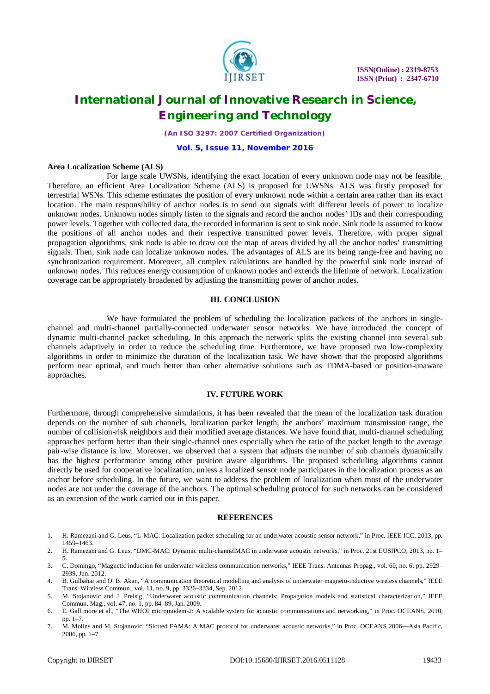

*(An ISO 3297: 2007 Certified Organization)*

### **Vol. 5, Issue 11, November 2016**

#### **Area Localization Scheme (ALS)**

For large scale UWSNs, identifying the exact location of every unknown node may not be feasible. Therefore, an efficient Area Localization Scheme (ALS) is proposed for UWSNs. ALS was firstly proposed for terrestrial WSNs. This scheme estimates the position of every unknown node within a certain area rather than its exact location. The main responsibility of anchor nodes is to send out signals with different levels of power to localize unknown nodes. Unknown nodes simply listen to the signals and record the anchor nodes' IDs and their corresponding power levels. Together with collected data, the recorded information is sent to sink node. Sink node is assumed to know the positions of all anchor nodes and their respective transmitted power levels. Therefore, with proper signal propagation algorithms, sink node is able to draw out the map of areas divided by all the anchor nodes' transmitting signals. Then, sink node can localize unknown nodes. The advantages of ALS are its being range-free and having no synchronization requirement. Moreover, all complex calculations are handled by the powerful sink node instead of unknown nodes. This reduces energy consumption of unknown nodes and extends the lifetime of network. Localization coverage can be appropriately broadened by adjusting the transmitting power of anchor nodes.

#### **III. CONCLUSION**

We have formulated the problem of scheduling the localization packets of the anchors in singlechannel and multi-channel partially-connected underwater sensor networks. We have introduced the concept of dynamic multi-channel packet scheduling. In this approach the network splits the existing channel into several sub channels adaptively in order to reduce the scheduling time. Furthermore, we have proposed two low-complexity algorithms in order to minimize the duration of the localization task. We have shown that the proposed algorithms perform near optimal, and much better than other alternative solutions such as TDMA-based or position-unaware approaches.

### **IV. FUTURE WORK**

Furthermore, through comprehensive simulations, it has been revealed that the mean of the localization task duration depends on the number of sub channels, localization packet length, the anchors' maximum transmission range, the number of collision-risk neighbors and their modified average distances. We have found that, multi-channel scheduling approaches perform better than their single-channel ones especially when the ratio of the packet length to the average pair-wise distance is low. Moreover, we observed that a system that adjusts the number of sub channels dynamically has the highest performance among other position aware algorithms. The proposed scheduling algorithms cannot directly be used for cooperative localization, unless a localized sensor node participates in the localization process as an anchor before scheduling. In the future, we want to address the problem of localization when most of the underwater nodes are not under the coverage of the anchors. The optimal scheduling protocol for such networks can be considered as an extension of the work carried out in this paper.

#### **REFERENCES**

- 1. H. Ramezani and G. Leus, "L-MAC: Localization packet scheduling for an underwater acoustic sensor network," in Proc. IEEE ICC, 2013, pp. 1459–1463.
- 2. H. Ramezani and G. Leus, "DMC-MAC: Dynamic multi-channelMAC in underwater acoustic networks," in Proc. 21st EUSIPCO, 2013, pp. 1– 5.
- 3. C. Domingo, "Magnetic induction for underwater wireless communication networks," IEEE Trans. Antennas Propag., vol. 60, no. 6, pp. 2929– 2939, Jun. 2012.
- 4. B. Gulbahar and O. B. Akan, "A communication theoretical modelling and analysis of underwater magneto-inductive wireless channels," IEEE Trans. Wireless Commun., vol. 11, no. 9, pp. 3326–3334, Sep. 2012.
- 5. M. Stojanovic and J. Preisig, "Underwater acoustic communication channels: Propagation models and statistical characterization," IEEE Commun. Mag., vol. 47, no. 1, pp. 84–89, Jan. 2009.
- 6. E. Gallimore et al., "The WHOI micromodem-2: A scalable system for acoustic communications and networking," in Proc. OCEANS, 2010, pp. 1–7.
- 7. M. Molins and M. Stojanovic, "Slotted FAMA: A MAC protocol for underwater acoustic networks," in Proc. OCEANS 2006—Asia Pacific, 2006, pp. 1–7.